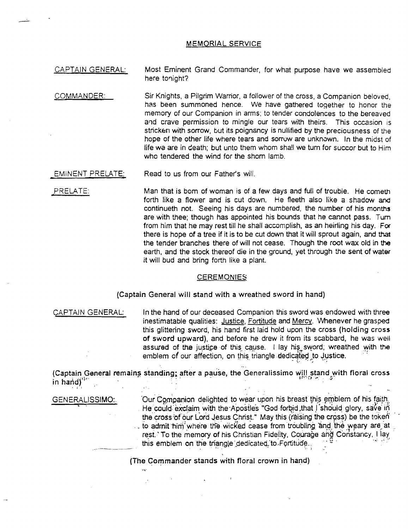## MEMORIAL SERVICE

CAPTAIN GENERAL: Most Eminent Grand Commander, for what purpose have we assembled here tonight?

- COMMANDER: Sir Knights, a Pilgrim Warrior, a follower of the cross, a Companion beloved, has been summoned hence. We have gathered together to honor the memory of our Companion in arms; to tender condolences to the bereaved and crave permission to mingle our tears with theirs. This occasion is stricken with sorrow, but its poignancy is nullified by the preciousness of the hope of the other fife where tears and sorrow are unknown. In the midst of life we are in death; but unto them whom sha!I we turn for succor but to Him who tendered the wind for the shorn lamb.
- EMINENT PRELATE: Read to us from our Father's will.
- ,PRELATE: Man that is born of woman is of a few days and full of trouble. He cometh forth like a flower and is cut down. He fleeth also like a shadow and continueth not. Seeing his days are numbered, the number of his months are with thee; though has appointed his bounds that he cannot pass. Tum from him that he may rest till he shall accomplish, as an heiriing his day. For there is hope of a tree if it is to be cut down that it will sprout again, and that the tender branches there of will not cease. Though the root wax old in the earth, and the stock thereof die in the ground, yet through the sent of water it will bud and bring forth like a plant.

## **CEREMONIES**

(Captain General will stand with a wreathed sword in hand)

CAPTAIN GENERAL: In the hand of our deceased Companion this sword was endowed with three inestimatable qualities: Justice, Fortitude and Mercy. \M1enever he grasped this glittering sword, his hand first laid hold upon the cross (holding cross of sword upward), and before he drew it from its scabbard, he was well assured of the justice of this cause. I lay his sword; wreathed with the emblem of our affection, on this triangle dedicated to Justice. or sword upward), and before he drew it from its scabbard, he was<br>assured of the justice of this cause. I lay his sword, wreathed with<br>emblem of our affection, on this triangle dedicated to Justice.<br>(Captain General remain

(Captain General remains standing; after a pause, the Generalissimo will stand with floral cross

GENERALISSIMO: Our Companion delighted to wear upon his breast this emblem of his faith:<br>He could exclaim with the Apostles "God forbid.that I should glory, save in the cross of our Lord Jesus Christ." May this (raising the cross) be the token .. . to admit him where the wicked cease from troubling and the weary are at rest.' To the memory of his Christian Fidelity, Courage and Constancy, I lay th-is emblem on the triangle :\_dedicate<po .Fortitude.. .. 9 . . ... .. J . •. '" <sup>I</sup>

(The Commander stands with floral crown in hand)